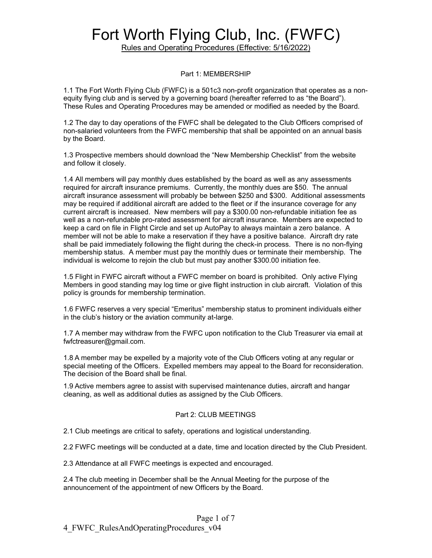Rules and Operating Procedures (Effective: 5/16/2022)

#### Part 1: MEMBERSHIP

1.1 The Fort Worth Flying Club (FWFC) is a 501c3 non-profit organization that operates as a nonequity flying club and is served by a governing board (hereafter referred to as "the Board"). These Rules and Operating Procedures may be amended or modified as needed by the Board.

1.2 The day to day operations of the FWFC shall be delegated to the Club Officers comprised of non-salaried volunteers from the FWFC membership that shall be appointed on an annual basis by the Board.

1.3 Prospective members should download the "New Membership Checklist" from the website and follow it closely.

1.4 All members will pay monthly dues established by the board as well as any assessments required for aircraft insurance premiums. Currently, the monthly dues are \$50. The annual aircraft insurance assessment will probably be between \$250 and \$300. Additional assessments may be required if additional aircraft are added to the fleet or if the insurance coverage for any current aircraft is increased. New members will pay a \$300.00 non-refundable initiation fee as well as a non-refundable pro-rated assessment for aircraft insurance. Members are expected to keep a card on file in Flight Circle and set up AutoPay to always maintain a zero balance. A member will not be able to make a reservation if they have a positive balance. Aircraft dry rate shall be paid immediately following the flight during the check-in process. There is no non-flying membership status. A member must pay the monthly dues or terminate their membership. The individual is welcome to rejoin the club but must pay another \$300.00 initiation fee.

1.5 Flight in FWFC aircraft without a FWFC member on board is prohibited. Only active Flying Members in good standing may log time or give flight instruction in club aircraft. Violation of this policy is grounds for membership termination.

1.6 FWFC reserves a very special "Emeritus" membership status to prominent individuals either in the club's history or the aviation community at-large.

1.7 A member may withdraw from the FWFC upon notification to the Club Treasurer via email at fwfctreasurer@gmail.com.

1.8 A member may be expelled by a majority vote of the Club Officers voting at any regular or special meeting of the Officers. Expelled members may appeal to the Board for reconsideration. The decision of the Board shall be final.

1.9 Active members agree to assist with supervised maintenance duties, aircraft and hangar cleaning, as well as additional duties as assigned by the Club Officers.

#### Part 2: CLUB MEETINGS

2.1 Club meetings are critical to safety, operations and logistical understanding.

2.2 FWFC meetings will be conducted at a date, time and location directed by the Club President.

2.3 Attendance at all FWFC meetings is expected and encouraged.

2.4 The club meeting in December shall be the Annual Meeting for the purpose of the announcement of the appointment of new Officers by the Board.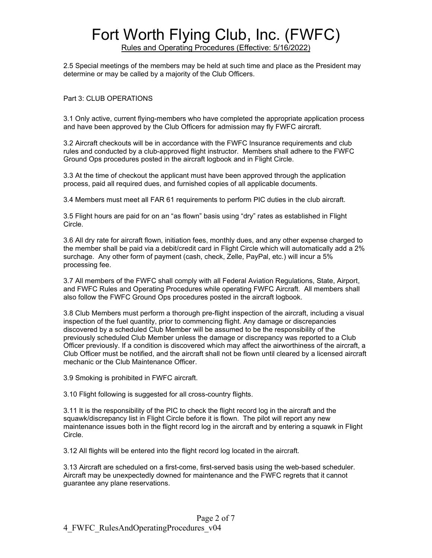Rules and Operating Procedures (Effective: 5/16/2022)

2.5 Special meetings of the members may be held at such time and place as the President may determine or may be called by a majority of the Club Officers.

#### Part 3: CLUB OPERATIONS

3.1 Only active, current flying-members who have completed the appropriate application process and have been approved by the Club Officers for admission may fly FWFC aircraft.

3.2 Aircraft checkouts will be in accordance with the FWFC Insurance requirements and club rules and conducted by a club-approved flight instructor. Members shall adhere to the FWFC Ground Ops procedures posted in the aircraft logbook and in Flight Circle.

3.3 At the time of checkout the applicant must have been approved through the application process, paid all required dues, and furnished copies of all applicable documents.

3.4 Members must meet all FAR 61 requirements to perform PIC duties in the club aircraft.

3.5 Flight hours are paid for on an "as flown" basis using "dry" rates as established in Flight Circle.

3.6 All dry rate for aircraft flown, initiation fees, monthly dues, and any other expense charged to the member shall be paid via a debit/credit card in Flight Circle which will automatically add a 2% surchage. Any other form of payment (cash, check, Zelle, PayPal, etc.) will incur a 5% processing fee.

3.7 All members of the FWFC shall comply with all Federal Aviation Regulations, State, Airport, and FWFC Rules and Operating Procedures while operating FWFC Aircraft. All members shall also follow the FWFC Ground Ops procedures posted in the aircraft logbook.

3.8 Club Members must perform a thorough pre-flight inspection of the aircraft, including a visual inspection of the fuel quantity, prior to commencing flight. Any damage or discrepancies discovered by a scheduled Club Member will be assumed to be the responsibility of the previously scheduled Club Member unless the damage or discrepancy was reported to a Club Officer previously. If a condition is discovered which may affect the airworthiness of the aircraft, a Club Officer must be notified, and the aircraft shall not be flown until cleared by a licensed aircraft mechanic or the Club Maintenance Officer.

3.9 Smoking is prohibited in FWFC aircraft.

3.10 Flight following is suggested for all cross-country flights.

3.11 It is the responsibility of the PIC to check the flight record log in the aircraft and the squawk/discrepancy list in Flight Circle before it is flown. The pilot will report any new maintenance issues both in the flight record log in the aircraft and by entering a squawk in Flight Circle.

3.12 All flights will be entered into the flight record log located in the aircraft.

3.13 Aircraft are scheduled on a first-come, first-served basis using the web-based scheduler. Aircraft may be unexpectedly downed for maintenance and the FWFC regrets that it cannot guarantee any plane reservations.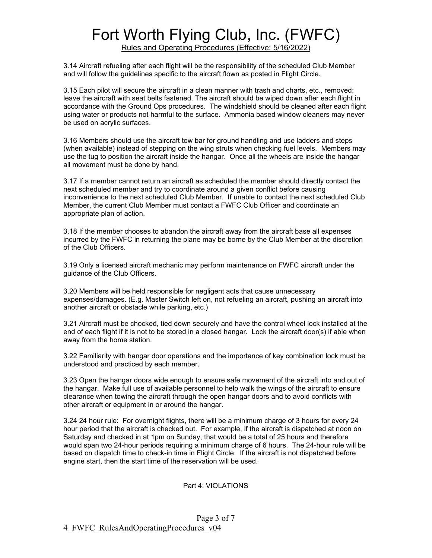Rules and Operating Procedures (Effective: 5/16/2022)

3.14 Aircraft refueling after each flight will be the responsibility of the scheduled Club Member and will follow the guidelines specific to the aircraft flown as posted in Flight Circle.

3.15 Each pilot will secure the aircraft in a clean manner with trash and charts, etc., removed; leave the aircraft with seat belts fastened. The aircraft should be wiped down after each flight in accordance with the Ground Ops procedures. The windshield should be cleaned after each flight using water or products not harmful to the surface. Ammonia based window cleaners may never be used on acrylic surfaces.

3.16 Members should use the aircraft tow bar for ground handling and use ladders and steps (when available) instead of stepping on the wing struts when checking fuel levels. Members may use the tug to position the aircraft inside the hangar. Once all the wheels are inside the hangar all movement must be done by hand.

3.17 If a member cannot return an aircraft as scheduled the member should directly contact the next scheduled member and try to coordinate around a given conflict before causing inconvenience to the next scheduled Club Member. If unable to contact the next scheduled Club Member, the current Club Member must contact a FWFC Club Officer and coordinate an appropriate plan of action.

3.18 If the member chooses to abandon the aircraft away from the aircraft base all expenses incurred by the FWFC in returning the plane may be borne by the Club Member at the discretion of the Club Officers.

3.19 Only a licensed aircraft mechanic may perform maintenance on FWFC aircraft under the guidance of the Club Officers.

3.20 Members will be held responsible for negligent acts that cause unnecessary expenses/damages. (E.g. Master Switch left on, not refueling an aircraft, pushing an aircraft into another aircraft or obstacle while parking, etc.)

3.21 Aircraft must be chocked, tied down securely and have the control wheel lock installed at the end of each flight if it is not to be stored in a closed hangar. Lock the aircraft door(s) if able when away from the home station.

3.22 Familiarity with hangar door operations and the importance of key combination lock must be understood and practiced by each member.

3.23 Open the hangar doors wide enough to ensure safe movement of the aircraft into and out of the hangar. Make full use of available personnel to help walk the wings of the aircraft to ensure clearance when towing the aircraft through the open hangar doors and to avoid conflicts with other aircraft or equipment in or around the hangar.

3.24 24 hour rule: For overnight flights, there will be a minimum charge of 3 hours for every 24 hour period that the aircraft is checked out. For example, if the aircraft is dispatched at noon on Saturday and checked in at 1pm on Sunday, that would be a total of 25 hours and therefore would span two 24-hour periods requiring a minimum charge of 6 hours. The 24-hour rule will be based on dispatch time to check-in time in Flight Circle. If the aircraft is not dispatched before engine start, then the start time of the reservation will be used.

#### Part 4: VIOLATIONS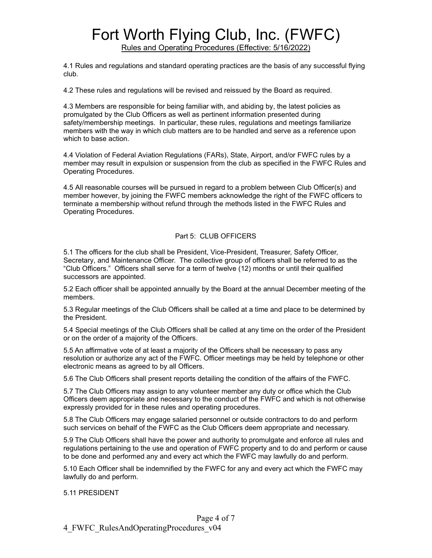Rules and Operating Procedures (Effective: 5/16/2022)

4.1 Rules and regulations and standard operating practices are the basis of any successful flying club.

4.2 These rules and regulations will be revised and reissued by the Board as required.

4.3 Members are responsible for being familiar with, and abiding by, the latest policies as promulgated by the Club Officers as well as pertinent information presented during safety/membership meetings. In particular, these rules, regulations and meetings familiarize members with the way in which club matters are to be handled and serve as a reference upon which to base action.

4.4 Violation of Federal Aviation Regulations (FARs), State, Airport, and/or FWFC rules by a member may result in expulsion or suspension from the club as specified in the FWFC Rules and Operating Procedures.

4.5 All reasonable courses will be pursued in regard to a problem between Club Officer(s) and member however, by joining the FWFC members acknowledge the right of the FWFC officers to terminate a membership without refund through the methods listed in the FWFC Rules and Operating Procedures.

#### Part 5: CLUB OFFICERS

5.1 The officers for the club shall be President, Vice-President, Treasurer, Safety Officer, Secretary, and Maintenance Officer. The collective group of officers shall be referred to as the "Club Officers." Officers shall serve for a term of twelve (12) months or until their qualified successors are appointed.

5.2 Each officer shall be appointed annually by the Board at the annual December meeting of the members.

5.3 Regular meetings of the Club Officers shall be called at a time and place to be determined by the President.

5.4 Special meetings of the Club Officers shall be called at any time on the order of the President or on the order of a majority of the Officers.

5.5 An affirmative vote of at least a majority of the Officers shall be necessary to pass any resolution or authorize any act of the FWFC. Officer meetings may be held by telephone or other electronic means as agreed to by all Officers.

5.6 The Club Officers shall present reports detailing the condition of the affairs of the FWFC.

5.7 The Club Officers may assign to any volunteer member any duty or office which the Club Officers deem appropriate and necessary to the conduct of the FWFC and which is not otherwise expressly provided for in these rules and operating procedures.

5.8 The Club Officers may engage salaried personnel or outside contractors to do and perform such services on behalf of the FWFC as the Club Officers deem appropriate and necessary.

5.9 The Club Officers shall have the power and authority to promulgate and enforce all rules and regulations pertaining to the use and operation of FWFC property and to do and perform or cause to be done and performed any and every act which the FWFC may lawfully do and perform.

5.10 Each Officer shall be indemnified by the FWFC for any and every act which the FWFC may lawfully do and perform.

5.11 PRESIDENT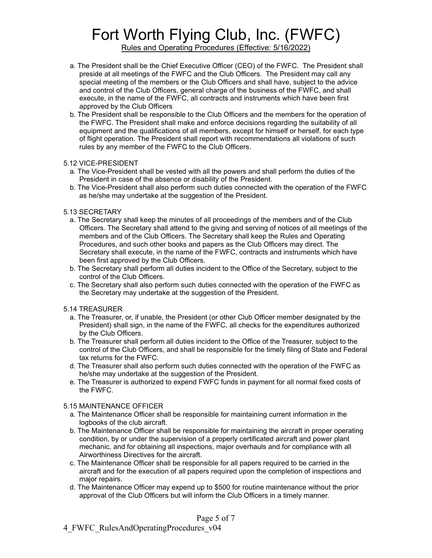Rules and Operating Procedures (Effective: 5/16/2022)

- a. The President shall be the Chief Executive Officer (CEO) of the FWFC. The President shall preside at all meetings of the FWFC and the Club Officers. The President may call any special meeting of the members or the Club Officers and shall have, subject to the advice and control of the Club Officers, general charge of the business of the FWFC, and shall execute, in the name of the FWFC, all contracts and instruments which have been first approved by the Club Officers
- b. The President shall be responsible to the Club Officers and the members for the operation of the FWFC. The President shall make and enforce decisions regarding the suitability of all equipment and the qualifications of all members, except for himself or herself, for each type of flight operation. The President shall report with recommendations all violations of such rules by any member of the FWFC to the Club Officers.

#### 5.12 VICE-PRESIDENT

- a. The Vice-President shall be vested with all the powers and shall perform the duties of the President in case of the absence or disability of the President.
- b. The Vice-President shall also perform such duties connected with the operation of the FWFC as he/she may undertake at the suggestion of the President.

#### 5.13 SECRETARY

- a. The Secretary shall keep the minutes of all proceedings of the members and of the Club Officers. The Secretary shall attend to the giving and serving of notices of all meetings of the members and of the Club Officers. The Secretary shall keep the Rules and Operating Procedures, and such other books and papers as the Club Officers may direct. The Secretary shall execute, in the name of the FWFC, contracts and instruments which have been first approved by the Club Officers.
- b. The Secretary shall perform all duties incident to the Office of the Secretary, subject to the control of the Club Officers.
- c. The Secretary shall also perform such duties connected with the operation of the FWFC as the Secretary may undertake at the suggestion of the President.

#### 5.14 TREASURER

- a. The Treasurer, or, if unable, the President (or other Club Officer member designated by the President) shall sign, in the name of the FWFC, all checks for the expenditures authorized by the Club Officers.
- b. The Treasurer shall perform all duties incident to the Office of the Treasurer, subject to the control of the Club Officers, and shall be responsible for the timely filing of State and Federal tax returns for the FWFC.
- d. The Treasurer shall also perform such duties connected with the operation of the FWFC as he/she may undertake at the suggestion of the President.
- e. The Treasurer is authorized to expend FWFC funds in payment for all normal fixed costs of the FWFC.

#### 5.15 MAINTENANCE OFFICER

- a. The Maintenance Officer shall be responsible for maintaining current information in the logbooks of the club aircraft.
- b. The Maintenance Officer shall be responsible for maintaining the aircraft in proper operating condition, by or under the supervision of a properly certificated aircraft and power plant mechanic, and for obtaining all inspections, major overhauls and for compliance with all Airworthiness Directives for the aircraft.
- c. The Maintenance Officer shall be responsible for all papers required to be carried in the aircraft and for the execution of all papers required upon the completion of inspections and major repairs.
- d. The Maintenance Officer may expend up to \$500 for routine maintenance without the prior approval of the Club Officers but will inform the Club Officers in a timely manner.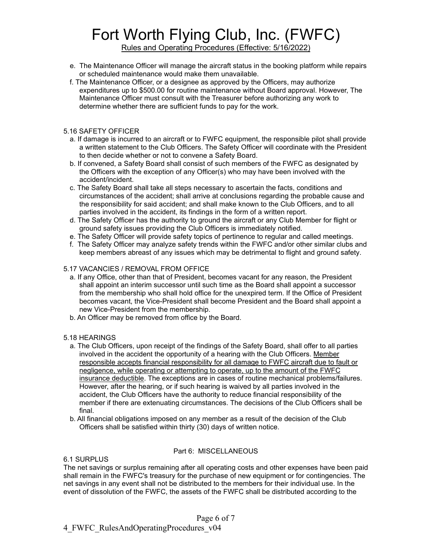Rules and Operating Procedures (Effective: 5/16/2022)

- e. The Maintenance Officer will manage the aircraft status in the booking platform while repairs or scheduled maintenance would make them unavailable.
- f. The Maintenance Officer, or a designee as approved by the Officers, may authorize expenditures up to \$500.00 for routine maintenance without Board approval. However, The Maintenance Officer must consult with the Treasurer before authorizing any work to determine whether there are sufficient funds to pay for the work.
- 5.16 SAFETY OFFICER
	- a. If damage is incurred to an aircraft or to FWFC equipment, the responsible pilot shall provide a written statement to the Club Officers. The Safety Officer will coordinate with the President to then decide whether or not to convene a Safety Board.
	- b. If convened, a Safety Board shall consist of such members of the FWFC as designated by the Officers with the exception of any Officer(s) who may have been involved with the accident/incident.
	- c. The Safety Board shall take all steps necessary to ascertain the facts, conditions and circumstances of the accident; shall arrive at conclusions regarding the probable cause and the responsibility for said accident; and shall make known to the Club Officers, and to all parties involved in the accident, its findings in the form of a written report.
	- d. The Safety Officer has the authority to ground the aircraft or any Club Member for flight or ground safety issues providing the Club Officers is immediately notified.
	- e. The Safety Officer will provide safety topics of pertinence to regular and called meetings.
	- f. The Safety Officer may analyze safety trends within the FWFC and/or other similar clubs and keep members abreast of any issues which may be detrimental to flight and ground safety.

#### 5.17 VACANCIES / REMOVAL FROM OFFICE

- a. If any Office, other than that of President, becomes vacant for any reason, the President shall appoint an interim successor until such time as the Board shall appoint a successor from the membership who shall hold office for the unexpired term. If the Office of President becomes vacant, the Vice-President shall become President and the Board shall appoint a new Vice-President from the membership.
- b. An Officer may be removed from office by the Board.

#### 5.18 HEARINGS

- a. The Club Officers, upon receipt of the findings of the Safety Board, shall offer to all parties involved in the accident the opportunity of a hearing with the Club Officers. Member responsible accepts financial responsibility for all damage to FWFC aircraft due to fault or negligence, while operating or attempting to operate, up to the amount of the FWFC insurance deductible. The exceptions are in cases of routine mechanical problems/failures. However, after the hearing, or if such hearing is waived by all parties involved in the accident, the Club Officers have the authority to reduce financial responsibility of the member if there are extenuating circumstances. The decisions of the Club Officers shall be final.
- b. All financial obligations imposed on any member as a result of the decision of the Club Officers shall be satisfied within thirty (30) days of written notice.

#### Part 6: MISCELLANEOUS

6.1 SURPLUS

The net savings or surplus remaining after all operating costs and other expenses have been paid shall remain in the FWFC's treasury for the purchase of new equipment or for contingencies. The net savings in any event shall not be distributed to the members for their individual use. In the event of dissolution of the FWFC, the assets of the FWFC shall be distributed according to the